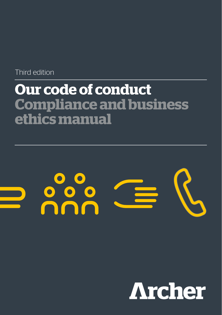Third edition

# **Our code of conduct Compliance and business ethics manual**



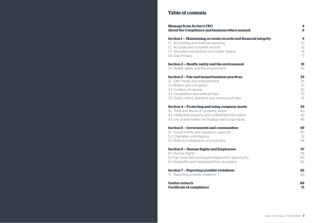# **Table of contents**

| <b>Message from Archer's CEO</b>                                 | 4               |
|------------------------------------------------------------------|-----------------|
| About the Compliance and business ethics manual                  | 6               |
| Section 1 – Maintaining accurate records and financial integrity | 9               |
| 1.1 Accounting and financial reporting                           | 10 <sup>°</sup> |
| 1.2 Accurate and complete records                                | 12              |
| 1.3 Securities transactions and insider trading                  | 14              |
| 1.4 Data Privacy                                                 | 17              |
| Section 2 - Health, safety and the environment                   | 19              |
| 2.1 Health, safety and the environment                           | 20              |
| Section 3 - Fair and honest business practices                   | 23              |
| 3.1 Gifts, meals and entertainment                               | 24              |
| 3.2 Bribery and corruption                                       | 27              |
| 3.3 Conflicts of interest                                        | 30              |
| 3.4 Competition and antitrust laws                               | 33              |
| 3.5 Trade control, sanctions and anti-boycott laws               | 35              |
| Section 4 – Protecting and using company assets                  | 39              |
| 4.1 Theft and abuse of company assets                            | 40              |
| 4.2 Intellectual property and confidential Information           | 43              |
| 4.3 Use of information technology and social media               | 46              |
| Section 5 - Governments and communities                          | 49              |
| 5.1 Governments and regulatory agencies                          | 50              |
| 5.2 Charitable contributions                                     | 52              |
| 5.3 Political contributions and activities                       | 54              |
| Section 6 - Human Rights and Employees                           | 57              |
| 6.1 Human Rights                                                 | 58              |
| 6.2 Fair treatment and equal employment opportunity              | 60              |
| 6.3 Respectful and harassment-free workplace                     | 62              |
| Section 7 - Reporting possible violations                        | 65              |
| 7.1 Reporting possible violations                                | 66              |
| <b>Useful contacts</b>                                           | 68              |
| <b>Certificate of compliance</b>                                 | 71              |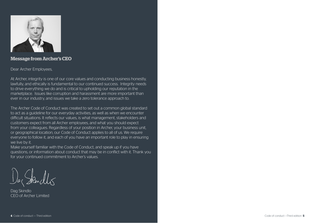

# **Message from Archer's CEO**

### Dear Archer Employees,

At Archer, integrity is one of our core values and conducting business honestly, lawfully, and ethically is fundamental to our continued success. Integrity needs to drive everything we do and is critical to upholding our reputation in the marketplace. Issues like corruption and harassment are more important than ever in our industry, and issues we take a zero tolerance approach to.

The Archer Code of Conduct was created to set out a common global standard to act as a guideline for our everyday activities, as well as when we encounter difficult situations. It reflects our values, is what management, stakeholders and customers expect from all Archer employees, and what you should expect from your colleagues. Regardless of your position in Archer, your business unit, or geographical location, our Code of Conduct applies to all of us. We require everyone to follow it, and each of you have an important role to play in ensuring we live by it.

Make yourself familiar with the Code of Conduct, and speak up if you have questions, or information about conduct that may be in conflict with it. Thank you for your continued commitment to Archer's values.

Dag Skindlo CEO of Archer Limited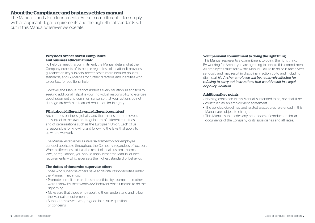# **About the Compliance and business ethics manual**

The Manual stands for a fundamental Archer commitment — to comply with all applicable legal requirements and the high ethical standards set out in this Manual wherever we operate.

### **Why does Archer have a Compliance and business ethics manual?**

To help us meet this commitment, the Manual details what the Company expects of its people regardless of location. It provides guidance on key subjects, references to more detailed policies, standards, and Guidelines for further direction, and identifies who to contact for additional help.

However, the Manual cannot address every situation. In addition to seeking additional help, it is your individual responsibility to exercise good judgment and common sense, so that your actions do not damage Archer's hard-earned reputation for integrity.

### **What about different laws in different countries?**

Archer does business globally, and that means our employees are subject to the laws and regulations of different countries, and of organizations such as the European Union. Each of us is responsible for knowing and following the laws that apply to us where we work.

The Manual establishes a universal framework for employee conduct applicable throughout the Company, regardless of location. Where differences exist as the result of local customs, norms, laws, or regulations, you should apply either the Manual or local requirements — whichever sets the highest standard of behavior.

### **The duties of those who supervise others**

Those who supervise others have additional responsibilities under the Manual. They must:

- Promote compliance and business ethics by example in other words, show by their words *and* behavior what it means to do the right thing.
- Make sure that those who report to them understand and follow the Manual's requirements.
- Support employees who, in good faith, raise questions or concerns.

### **Your personal commitment to doing the right thing**

This Manual represents a commitment to doing the right thing. By working for Archer, you are agreeing to uphold this commitment. All employees must follow this Manual. Failure to do so is taken very seriously and may result in disciplinary action up to and including dismissal. *No Archer employee will be negatively affected for refusing to carry out instructions that would result in a legal or policy violation.*

### **Additional key points**

- Nothing contained in this Manual is intended to be, nor shall it be
- construed as, an employment agreement.
- The policies, Guidelines, and related procedures referenced in this Manual are subject to change.
- This Manual supercedes any prior codes of conduct or similar documents of the Company or its subsidiaries and affiliates.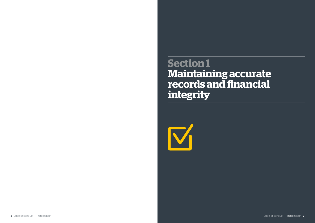**Section 1 Maintaining accurate records and financial integrity**

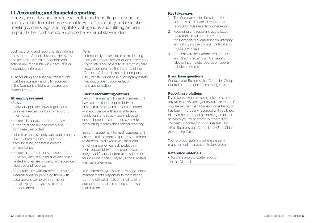# **1.1 Accounting and financial reporting**

Honest, accurate, and complete recording and reporting of accounting and financial information is essential to Archer's credibility and reputation, meeting Archer's legal and regulatory obligations, and fulfilling Archer's responsibilities to shareholders and other external stakeholders.

Such recording and reporting also informs and supports Archer's business decisions and actions — informed decisions and actions are impossible with inaccurate or incomplete information.

All accounting and financial transactions must be accurately and fully recorded in the Company's financial records and financial reports.

### **All employees must:**

*Always*

- follow all applicable laws, regulations, rules, and Archer policies for reporting information
- ensure all transactions are properly authorized and are accurately and completely recorded
- submit or approve only valid and properly documented expense reports account, fund, or asset is created or maintained
- ensure that transactions between the Company and its subsidiaries and other related entities are properly and accurately recorded and reported
- cooperate fully with Archer's internal and external auditors, providing them with accurate and complete information and allowing them access to staff and documents

*Never*

- intentionally make a false or misleading entry in a report, record, or expense report
- try to influence others to do anything that would compromise the integrity of the Company's financial records or reports
- sell, transfer, or dispose of company assets without proper documentation and authorization

### **Internal accounting controls**

Senior management for each business unit have an additional responsibility to ensure that proper and adequate controls — in accordance with applicable laws, regulations, and rules — are in place to ensure honest, accurate, and complete accounting records and financial reporting.

Senior management for each business unit are required to submit a quarterly statement to Archer's Chief Executive Officer and Chief Financial Officer acknowledging their responsibility for the preparation and integrity of financial information submitted for inclusion in the Company's consolidated financial statements.

The statement will also acknowledge senior management's responsibility for fostering a strong ethical climate and maintaining adequate internal accounting controls in that division.

### **Key takeaways**

- 1. The Company relies heavily on the accuracy of all financial records and reports for business decision-making.
- 2. Recording and reporting at the local/ operational level is critically important to the Company's overall financial integrity and satisfying the Company's legal and regulatory obligations.
- 3. Problems are best addressed openly and directly rather than by making false or incomplete records or reports to hide problems.

### **If you have questions**

Contact your Business Unit Controller, Group Controller, or the Chief Accounting Officer.

### **Reporting violations**

If you believe you are being asked to create any false or misleading entry, data, or report; if you are worried that a transaction is being, or has been, improperly recorded;or if you know of any other improper accounting or financial activities, you must promptly report such concern or incident to your Business Unit VP or Business Unit Controller, *and* the Chief Accounting Office.

Your prompt reporting will enable early management intervention to take place.

### **Reference materials**

*• Accurate and complete records,* in this Manual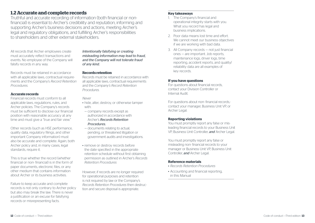# **1.2 Accurate and complete records**

Truthful and accurate recording of information (both financial or nonfinancial) is essential to Archer's credibility and reputation, informing and supporting Archer's business decisions and actions, meeting Archer's legal and regulatory obligations, and fulfilling Archer's responsibilities to shareholders and other external stakeholders.

All records that Archer employees create must accurately reflect transactions and events. No employee of the Company will falsify records in any way.

Records must be retained in accordance with all applicable laws, contractual requirements and the Company's *Record Retention Procedures.* 

### **Accurate records**

Financial records must conform to all applicable laws, regulations, rules, and Archer policies. The Company's records must be sufficient to disclose our financial position with reasonable accuracy at any time and must give a "true and fair view."

Other records (such as HSE performance, quality data, regulatory filings, and other important Company information) must also be accurate and complete. Again, both Archer policy and, in many cases, legal standards, require it.

This is true whether the record (whether financial or non- financial) is in the form of paper documents, electronic files, or any other medium that contains information about Archer or its business activities.

Failure to keep accurate and complete records is not only contrary to Archer policy but also may break the law. There is never a justification or an excuse for falsifying records or misrepresenting facts.

*Intentionally falsifying or creating misleading information may lead to fraud, and the Company will not tolerate fraud of any kind.*

### **Records retention**

Records must be retained in accordance with all applicable laws, contractual requirements and the *Company's Record Retention Procedures.*

*Never*

- hide, alter, destroy, or otherwise tamper with:
- company records except as authorized in accordance with Archer's *Records Retention Procedures.*
- documents relating to actual, pending, or threatened litigation or government audits and investigations.
- remove or destroy records before the date specified in the appropriate retention schedule without first obtaining permission as outlined in Archer's *Records Retention Procedures*

However, if records are no longer required for operational purposes and retention is not required by law or the Company's *Records Retention Procedures* then destruction and secure disposal is appropriate.

### **Key takeaways**

- 1. The Company's financial and operational integrity starts with you. What you record has legal and business implications.
- 2. Poor data means lost time and effort. We cannot meet our business objectives if we are working with bad data.
- 3. All Company records not just financial ones — are important. Job reports, maintenance logs, driver logs, time reporting, accident reports, and quality/ reliability data are all examples of key records.

### **If you have questions**

For questions about financial records, contact your Division Controller or Internal Audit.

For questions about non- financial records, contact your manager, Business Unit VP, or Archer Legal.

### **Reporting violations**

You must promptly report any false or misleading financial records to your Business Unit VP, Business Unit Controller, *and* Archer Legal.

You must promptly report any false or misleading non- financial records to your manager or Business Unit VP, Business Unit Controller, *and* Archer Legal.

- *• Records Retention Procedures*
- Accounting and financial reporting, in this Manual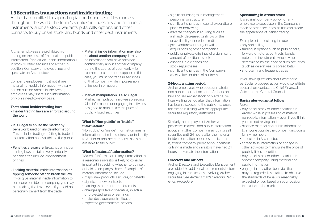# **1.3 Securities transactions and insider trading**

Archer is committed to supporting fair and open securities markets throughout the world. The term "securities" includes any and all financial instruments, such as: stock, warrants, puts, calls, options, and other contracts to buy or sell stock; and bonds and other debt instruments.

Archer employees are prohibited from trading on the basis of "material non-public information" (also called "inside information") in stock or other securities of Archer. In addition, Company employees must not speculate on Archer stock.

Company employees must not share material non-public information with any person outside Archer. Inside Archer, employees may share such information only on a need-to-know basis.

### **Facts about insider trading laws**

- Insider trading laws are enforced around the world.
- It is illegal to abuse the market by behavior based on inside information. This includes trading or failing to trade due to information not available to the public.
- Penalties are severe. Breaches of insider trading laws are taken very seriously and penalties can include imprisonment or fines.
- Leaking material inside information or tipping someone off can break the law. If you give material inside information to someone outside the company, you may be breaking the law — even if you did not personally benefit from the trade.
- Material inside information may also be about another company. It may be information you have obtained confidentially about another company during the course of your work — for example, a customer or supplier. In this case, you must not trade in securities of that company while in possession of insider information.
- Market manipulation is also illegal. Market manipulation involves spreading false information or engaging in activities designed to manipulate the price of publicly listed securities.

### **What is "Non-public" or "inside" information?**

"Non-public" or "inside" information means information that relates, directly or indirectly, to Archer or another company that is not available to the public.

### **What is "material" information?**

"Material" information is any information that a reasonable investor is likely to consider important in deciding whether to buy, sell, or hold a company's shares. Examples of material information include:

- major new products, services, or patents
- significant new contracts
- earnings statements and forecasts
- changes (positive or negative) in actual or projected sales or earnings
- major developments in litigation
- expected governmental actions
- significant changes in management personnel or structure
- significant changes in capital expenditure plans or borrowing
- adverse changes in liquidity, such as a sharply decreased cash low or the unavailability of needed credit
- joint ventures or mergers with, or acquisitions of, other companies
- public or private offerings of a significant amount of additional stock
- changes in dividends and stock repurchases
- significant changes in the Company's asset values or fines of business

### **24-hour waiting period**

Archer employees who possess material non-public information about Archer can buy and sell Archer stock only after a 24 hour waiting period after that information has been disclosed to the public in a press release or in a filing with the appropriate securities regulatory authorities.

Similarly, no employee of Archer who possesses material non-public information about any other company may buy or sell securities until 24 hours after the material inside information becomes public — that is, after a company public announcement or filing is made and investors have had 24 hours to evaluate the information.

### **Directors and officers**

Archer Directors and Executive Management are subject to additional requirements before engaging in transactions involving Archer securities. See *Archer's Insider Trading Regulation Procedure*.

### **Speculating in Archer stock**

It is against Company policy for any employee to speculate in the Company's stock or other securities, as this can create the appearance of insider trading.

Examples of speculating include:

- any sort selling
- trading in options such as puts or calls. forward or futures contracts, bonds notes, and investments whose value is determined by the price of such securities (such as derivatives or spread bets)
- short-term and frequent trades

If you have questions about whether a particular proposed action would constitute speculation, contact the Chief Financial Officer or the General Counsel.

### **Basic rules you must follow** *Never*

- buy or sell stock or other securities in Archer while in possession of material non-public information — even if you think you are not relying on it
- disclose material non-public information to anyone outside the Company, including family members
- speculate in Archer stock
- spread false information or engage in other activities to manipulate the price of publicly listed securities
- buy or sell stock or other securities in another company using material nonpublic information
- engage in any other behavior that may be regarded as a failure to observe the standards of behavior reasonably expected of you based on your position in relation to the market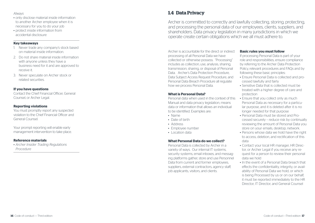### *Always*

- only disclose material inside information to another Archer employee when it is necessary for you to do your job
- protect inside information from accidental disclosure

### **Key takeaways**

- 1. Never trade any company's stock based on material inside information.
- 2. Do not share material inside information with anyone unless they have a business need for it and are approved to receive it.
- 3. Never speculate on Archer stock or related securities.

### **If you have questions**

Contact the Chief Financial Officer, General Counsel, or Archer Legal.

### **Reporting violations**

You must promptly report any suspected violation to the Chief Financial Officer and General Counsel.

Your prompt reporting will enable early management intervention to take place.

### **Reference materials**

*• Archer Insider Trading Regulations Procedure*

# **1.4 Data Privacy**

Archer is committed to correctly and lawfully collecting, storing, protecting, and processing the personal data of our employees, clients, suppliers, and shareholders. Data privacy legislation in many jurisdictions in which we operate create certain obligations which we all must adhere to.

Archer is accountable for the direct or indirect processing of all Personal Data we have collected or otherwise possess. "Processing" includes as collection, use, analysis, sharing, transmission, sharing, or disposal of Personal Data. Archer's Data Protection Procedure, Data Subject Access Request Procedure, and Personal Data Breach Procedure all regulate how we process Personal Data.

### **What is Personal Data?**

Personal data when used in the context of this • Ensure that you collect only as much Manual and data privacy legislation, means data or information that allows an individual to be identified. Examples are:

- Name
- Date of birth
- 
- Address Employee number
- Location data

### **What Personal Data do we collect?**

Personal Data is collected by Archer in a variety of ways. Our internal IT systems, security systems, email inboxes, and messag ing platforms gather, store and use Personnel Data from current and former employees, suppliers, external contractors, agency staff, job applicants, visitors, and clients.

### **Basic rules you must follow**

If processing Personal Data is part of your role and responsibilities, ensure compliance by referring to the Archer Data Protection Policy, relevant procedures and FAQs and by following these basic principles:

- Ensure Personal Data is collected and pro cessed lawfully and fairly
- Sensitive Data that is collected must be treated with a higher degree of care and protection
- Personal Data as necessary for a particular purpose, and it is deleted after it is no longer needed for that purpose
- Personal Data must be stored and Pro cessed securely – reduce risk by continually reviewing the amount of Personal Data you store on your emails, desktop, network.
- Persons whose data we hold have the right to access, deletion, and rectification of this data
- Contact your local HR manager, HR Direc tor, or Archer Legal if you receive any request for a person to review their personal data we hold
- In the event of a Personal Data breach that effects the confidentiality, integrity, or avail ability of Personal Data we hold, or which is being Processed by us or on our behalf, it must be reported immediately to the HR Director, IT Director, and General Counsel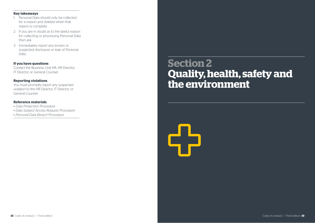- 1. Personal Data should only be collected for a reason and deleted when that reason is complete
- 2. If you are in doubt as to the lawful reason for collecting or processing Personal Data then ask
- 3. Immediately report any known or suspected disclosure or leak of Personal Data.

**If you have questions** Contact the Business Unit HR, HR Director, IT Director, or General Counsel.

### **Reporting violations**

You must promptly report any suspected violation to the HR Director, IT Director, or General Counsel

### **Reference materials**

- *• Data Protection Procedure*
- *• Data Subject Access Request Procedure*
- *• Personal Data Breach Procedure*

# **Section 2 Quality, health, safety and the environment** Conduction and Conduction and Conduction and Conduction and Conduction and Conduction and Conduction and Conduction and Conduction and Conduction and Conduction and Conduction and Conduction and Conduction and Conduction a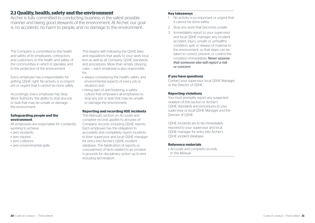# **2.1 Quality, health, safety and the environment**

Archer is fully committed to conducting business in the safest possible manner and being good stewards of the environment. At Archer, our goal is: no accidents, no harm to people, and no damage to the environment.

The Company is committed to the health and safety of its employees, contractors, and customers; to the health and safety of the communities in which it operates; and to the protection of the environment.

Every employee has a responsibility for getting QSHE right. No activity is so important or urgent that it cannot be done safely.

Accordingly, every employee has Stop Work Authority: the ability to stop any job or task that may be unsafe or damage the environment.

### **Safeguarding people and the environment**

All employees are responsible for constantly working to achieve

- zero incidents
- zero injuries
- zero collisions
- zero environmental spills

This begins with following the QSHE laws and regulations that apply to your work location as well as all Company QSHE standards and procedures. More than simply obeying rules — each employee is also responsible for:

- always considering the health, safety, and environmental aspects of every job or situation; and
- being part of, and fostering, a safety culture that empowers all employees to stop any job or task that may be unsafe or damage the environment

### **Reporting and recording HSE incidents**

This Manual's section on *Accurate and complete records applies* to all types of Company records, including QSHE reports. Each employee has the obligation to accurately and completely report incidents to their supervisor and local QSHE manager for entry into Archer's QSHE incident database. The falsification of reports or concealment of facts related to an incident is grounds for disciplinary action up to and including termination.

### **Key takeaways**

- 1. No activity is so important or urgent that it cannot be done safely.
- 2. Stop any work that becomes unsafe.
- 3. Immediately report to your supervisor and local QSHE manager any incident, accident, injury, unsafe or unhealthy condition, spill, or release of material to the environment, so that steps can be taken to correct, prevent, or control the condition immediately. *Never assume that someone else will report a risk or concern.*

### **If you have questions**

Contact your supervisor, local QSHE Manager, or the Director of QSHE.

### **Reporting violations**

You must promptly report any suspected violation of this section or Archer's QSHE standards and procedures to your supervisor or local QSHE Manager and the Director of QSHE.

QSHE incidents are to be immediately reported to your supervisor and local QSHE manager for entry into Archer's QSHE incident database.

### **Reference materials**

*• Accurate and complete records, in this Manual*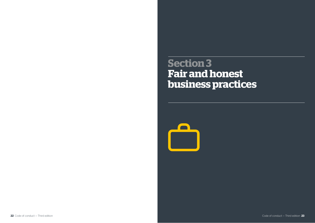**Section 3 Fair and honest business practices**

 $\blacksquare$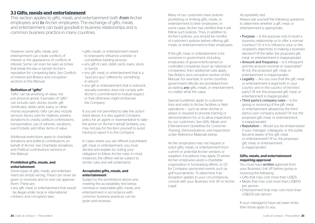# **3.1 Gifts, meals and entertainment**

This section applies to gifts, meals, and entertainment both *from* Archer employees and *to* Archer employees. The exchange of gifts, meals, and entertainment can build goodwill in business relationships and is common business practice in many countries.

However, some gifts, meals, and entertainment can create conflicts of interest or the appearance of conflicts of interest. Some can even be seen as bribes that break the law or tarnish Archer's reputation for competing fairly. *See Conflicts of interest and Bribery and corruption* sections in this Manual.

### **Definition of "gifts"**

"Gifts" can be anything of value, not just physical goods. Examples of "gifts" can include cash, stocks, bonds, gift certificates, debit cards, loans, or other money equivalents. Gifts can also include services, favors, jobs for relatives, jewelry, donations to charity, political contributions, transportation, use of vehicles, vacations, event tickets, and other items of value.

Additional restrictions apply to charitable donations and political contributions on behalf of Archer. See Charitable donations and *Political contributions* sections in this Manual.

### **Prohibited gifts, meals, and entertainment**

Some types of gifts, meals, and entertainment are simply wrong. These can never be given or received, and no one can approve them. These are:

- any gift, meal, or entertainment that would be illegal under local or international
- bribery and corruption laws
- gifts, meals, or entertainment meant to improperly influence a tender or competitive bidding process
- any gift of cash, debit cards, loans, stock, or bonds
- any gift, meal, or entertainment that is a "quid pro quo" (offered for something in return)
- any gift or entertainment that is indecent. sexually-oriented, does not comply with Archer's commitment to mutual respect, or that otherwise might embarrass the Company

If you are not permitted to take the action listed above, it is also against Company policy for an agent or representative to take the action on Archer's behalf. Similarly, you may not pay for the item yourself to avoid having to report it to the Company.

In cases where you are offered a prohibited gift, meal, or entertainment, you must decline and explain by noting your obligation to follow Archer rules. In most instances, the offerer will be subject to similar rules and will understand.

### **Acceptable gifts, meals, and entertainment**

Subject to the prohibitions above and meeting the acceptability test below, nominal or reasonable gifts, meals, and entertainment in accordance with common business practices can be given and received.

Many of our customers have policies prohibiting or limiting gifts, meals, or entertainment to their employees. In some cases, Archer has certified that it will follow such policies. Thus, in addition to Archer's policies, you should be mindful of customer's policies before offering gift, meals, or entertainment to their employees.

If the gift, meal, or entertainment is for someone in government, including employees of government-owned or controlled companies (such as national oil companies), then additional rules apply. See *Bribery and corruption* section of this Manual. For example, in some countries government officials are prohibited from accepting *any* gifts, meals, or entertainment, no matter what the value.

Special Guidelines apply to customer trips and visits to Archer facilities or field operations — such as when Archer is asked or required to provide training or demonstrations for, or to allow inspections by, our customers. See *Gifts, Meals, and Entertainment Guidelines for Customer Training, Demonstrations, and Inspections* under Reference Materials below.

Archer employees may not request or solicit gifts, meals, or entertainment from current or potential Archer vendors or suppliers. Exceptions may apply, (1) where Archer employees assist a charitable organization in fundraising efforts, or (2) for Company sponsored events such as golf tournaments. To determine if an exception applies to your circumstances, consult with your Business Unit VP or Archer Legal.

### *Acceptability test*

Always ask yourself the following questions to determine whether a gift, meal, or entertainment is appropriate:

- Purpose Is the purpose only to build a business relationship or to offer a normal courtesy? Or is it to influence your or the recipient's objectivity in making a business decision? (If the latter, the proposed gift, meal, or entertainment is inappropriate).
- Amount and frequency Is it infrequent and the amount nominal or reasonable? (If not, the proposed gift, meal, or entertainment is inappropriate).
- $\cdot$  Legality  $-$  Are you sure that the gift, meal, or entertainment is legal both in your country and in the country of the third party? (If not, the proposed gift, meal, or entertainment is inappropriate).
- Third party's company rules Is the giving or receiving of the gift, meal, or entertainment allowed by the third party's own company policies? (If not, the proposed gift, meal, or entertainment is inappropriate)
- Reputation Would you be embarrassed if your manager, colleagues, or the public became aware of the gift, meal, or entertainment? (If so, the proposed gift, meal, or entertainment is inappropriate).

### **Gifts, meals, and entertainment requiring approval**

You must have *written* approval from your Business Unit VP before giving or receiving the following:

- Gifts that may cost more than US\$25
- Meals that may cost more than US\$100 per person
- Entertainment that may cost more than US\$200 per person

If your manager(s) have set lower limits, then those apply to you.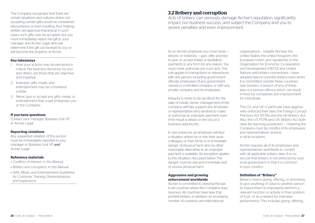The Company recognizes that there are certain situations and cultures where not accepting certain gifts would be considered discourteous or even insulting, thus making written pre-approval impractical. In such cases, such gifts may be accepted, but you must immediately report the gift to your manager and Archer Legal, who will determine if the gift can be kept by you or will become the property of Archer.

### **Key takeaways**

- 1. How your actions may be perceived is critical. Fair business decisions, by you and others, are those that are objective and impartial.
- 2. Improper gifts, meals, and entertainment may be considered a bribe.
- 3. Never give or accept any gifts, meals, or entertainment that could embarrass you or the Company.

### **If you have questions**

Contact your manager, Business Unit VP, or Archer Legal.

### **Reporting violations**

Any suspected violation of this section must be immediately reported to your manager or Business Unit VP, *and* Archer Legal.

### **Reference materials**

- *• Conflicts of interest, in this Manual*
- *• Bribery and corruption, in this Manual*
- *• Gifts, Meals, and Entertainment Guidelines for Customer Training, Demonstrations, and Inspections*

# **3.2 Bribery and corruption**

Acts of bribery can seriously damage Archer's reputation, significantly impact our business success, and subject the Company and you to severe penalties and even imprisonment.

As an Archer employee you must never directly or indirectly — give, offer, promise to give, or accept bribes or facilitation payments in any form for any reason. You must never authorize any such acts. This rule applies to transactions or interactions with any person, including government officials, employees of any government owned or controlled company, or with any private company and its employees.

Integrity is never to be sacrificed for the sake of results. Senior management of the company will fully support any employee or representative who declines to make or authorize an improper payment, even if the result is delays or the loss of a business opportunity.

In rare instances, an employee will face a situation where he or she, their work colleague, or their family is in immediate danger of physical harm and no other reasonable alternative to an improper payment is available. An exception applies to this situation, discussed below. The danger must be real and immediate and of serious physical harm.

### **Aggressive and growing enforcement worldwide**

Archer is committed to obeying the law in all countries where the Company does business. All countries have laws that prohibit bribery. In addition, an increasing number of countries and international

organizations – notably Norway, the United States, the United Kingdom, the European Union, and signatories to the Organization for Economic Co-operation and Development (OECD) and United Nations anti-bribery conventions – have adopted laws to prohibit bribery even when it is committed outside these countries' own borders. A breach of any of these laws is a serious offence which can result in fines for companies and imprisonment for individuals.

The U.S. and UK in particular have aggressively enforced their laws, the Foreign Corrupt Practices Act (FCPA) and the UK Bribery Act. Also, the U.S. FCPA and U.K. Bribery Act both have far-reaching jurisdiction – meaning the Company must be mindful of its employees' and representatives' actions in all its locations.

Archer requires all of its employees and representatives worldwide to comply with all applicable bribery laws. It is no excuse that bribery is not enforced by your local government or that it is common in your country.

### **Definition of "Bribery"**

Bribery means giving, offering, or promising to give anything of value to another person to induce them to improperly perform a relevant function or activity in their position of trust, or as a reward for improper performance. This includes giving, offering,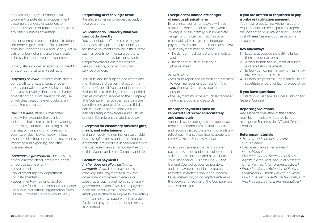or promising to give anything of value to current or potential non-government customers, vendors, or suppliers to improperly obtain or retain business, or for any other business advantage.

It is considered a separate offence to bribe someone in government. This is enforced seriously under the FCPA and Bribery Act. All acts of bribery, of any person, can result in heavy fines and even imprisonment.

Bribery also includes an attempt or intent to bribe, or authorizing any such acts.

*"Anything of value"* includes cash, stocks, bonds, gift certificates, loans, or other money equivalents, services, favors, jobs for relatives, jewelry, donations to charity, political contributions, transportation, use of vehicles, vacations, event tickets, and other items of value.

*"Business advantage"* is interpreted broadly. For example, the definition includes — but is not limited to — winning or renewing contracts; obtaining permits, licenses, or visas; avoiding or reducing your tax or duty liability; resolving legal disputes; collecting on accounts receivables; importing and exporting; and other business steps.

*"Someone in government"* includes any official, director, officer, employee, agent, or representative of any:

- government
- government agency, department or instrumentality
- government-owned or controlled company (such as a national oil company), or public international organization (such as the European Union or World Bank)

### **Requesting or receiving a bribe**

It is also an offence to request, accept, or receive a bribe.

### **You cannot do indirectly what you cannot do directly**

You cannot give, offer, promise to give, or request, accept, or receive bribes or facilitative payments through a third party such as agents, joint venture partners. distributors, attorneys, tax consultants, freight forwarders, customs brokers, visa processors, or other third party service providers.

You must also be diligent in selecting and monitoring third parties that act on the Company's behalf. You cannot ignore or be willfully blind to the illegal conduct of third parties providing services to the Company. The Company has policies regarding the selection and approval for certain third parties, such as agents, joint venture partners, freight forwarders, and customs brokers. See reference materials below.

### **Exception for customary business gifts, meals, and entertainment**

Giving or receiving nominal or reasonable business gifts, meals, and entertainment is acceptable provided it is in accordance with the *Gifts, meals, and entertainment* section of this Manual and other Company policies.

### **Facilitation payments** *Archer does not allow facilitation*

*payments.* A facilitation payment is a relatively small payment to a low-level government employee to enable or speed up a routine and non-discretionary government action. A facilitation payment is facilitative only if the Company or employee is otherwise eligible for the action — for example, if all paperwork is in order. Facilitation payments are bribes in nearly all countries.

### **Exception for immediate danger of serious physical harm**

In rare instances, an employee will face a situation where he or she, their work colleague, or their family is in immediate danger of physical harm and no other reasonable alternative to an improper payment is available. If the conditions below exist, a payment may be made:

- The danger must be real and immediate, and
- The danger must be of serious physical harm

### *In such cases:*

- you must report the incident and payment to your manager or Business Unit VP, *and* General Counsel as soon as possible, and
- the payment must be accurately recorded in Archer's books and records

### **Improper payments must be reported and recorded accurately and completely**

Various laws, including anti corruption laws, require that companies maintain books and records that accurately and completely reflect each transaction. See *Accurate and complete records* in this Manual.

As such, in the event that an improper payment is made under this rule, you must still report the incident and payment to your manager or Business Unit VP, *and* General Counsel as soon as possible, and the payment must be accurately recorded in Archer's books and records. False, misleading, or incomplete entries in the books and records of the Company are strictly prohibited.

### **If you are offered or requested to pay a bribe or facilitation payment**

You must refuse (citing Archer rules and requirements can be helpful) and report the incident to your manager or Business Unit VP, *and* General Counsel as soon as possible.

### **Key takeaways**

- 1. Local practices do no justify a bribe, there is never an excuse.
- 2. Archer forbids the payment of bribes and facilitation payments.
- 3. Bribery can come in many forms; it may involve more than cash.
- 4. Bribery preys on the unprepared. Do not substitute bribery for lack of preparation.

### **If you have questions**

Contact your manager, Business Unit VP and General Counsel.

### **Reporting violations**

Any suspected violation of this section must be immediately reported to your manager or Business Unit VP and General Counsel.

- *• Accurate and complete records, in this Manual*
- *• Gifts, meals, and entertainment, in this Manual*
- *• Procedure for the Retention of Sales Agents, Distributors, and Joint Venture/ Other Partners (Tier 1 Representatives)*
- *• Procedure for the Retention of Freight Forwarders, Customs Brokers, Lawyers/ Law Firms, Tax Consultants/Tax Firms, and Visa Processors (Tier 2 Representatives)*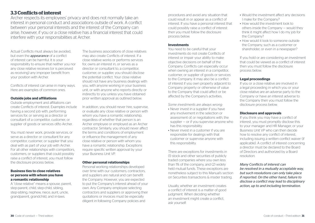# **3.3 Conflicts of interest**

Archer respects its employees' privacy and does not normally take an interest in personal conduct and associations outside of work. A conflict between your personal interests and the interest of the Company can arise, however, if you or a close relative has a financial interest that could interfere with your responsibilities at Archer.

Actual Conflicts must always be avoided, but even the *appearance* of a conflict of interest can be harmful. It is your responsibility to ensure that neither you nor any close relative receives (or is perceived as receiving) any improper benefit from your position with Archer.

Conflicts of interest can arise in many ways. Here are examples of common ones.

### **Outside jobs and affiliations**

Outside employment and affiliations can create Conflicts of interest. Examples include having a second job with, performing services for, or serving as a director or consultant of a competitor, customer, or supplier of goods or services of/to Archer.

You must never work, provide services, or serve as a director or consultant for any competitor, customer, or supplier that you deal with as part of your job with Archer. For all other relationships with competitors, customers, or suppliers that could possibly raise a conflict of interest, you must follow the disclosure process below.

### **Business ties to close relatives or persons with whom you have a romantic relationship**

A "close relative" means a spouse, parent, step-parent, child, step-child, sibling, step-sibling, nephew, niece, aunt, uncle, grandparent, grandchild, and in-laws.

The business associations of close relatives may also create Conflicts of interest. If a close relative works or performs services for, owns an interest in, or serves as a director or consultant to, a competitor, customer, or supplier, you should disclose the potential conflict. Your close relative should not have any business dealings with you, with anyone working in your business unit, or with anyone who reports directly or indirectly to you unless you have obtained prior written approval as outlined below.

In addition, you should never hire, supervise, or evaluate any close relative or person with whom you have a romantic relationship, regardless of whether that person is an Archer employee or employed as an Archer contractor. Similarly, you should never affect the terms and conditions of employment or influence the management of any close relative or person with whom you have a romantic relationship. Exceptions require specific written approval by your your Business Unit VP.

### **Other personal relationships**

Personal working relationships developed over time with our customers, contractors, and suppliers are natural and can benefit the Company. However, you are expected to put the Company's interest ahead of your own. Any Company employee selecting contractors and suppliers or approving their quotations or invoices must be especially diligent in following Company policies and

procedures and avoid any situation that could result in or appear as a conflict of interest. If you have a personal interest that could possibly raise a conflict of interest then you must follow the disclosure process below.

### **Investments**

You need to be careful that your investments do not create Conflicts of interest or impair your ability to make objective decisions on behalf of the Company. Conflicts can especially occur when owning an interest in a competitor, customer, or supplier of goods or services to the Company. It may also be a conflict of interest if you own property adjacent to Company property or otherwise of value to the Company that could affect or be affected by the Company's activities.

*Some investments are always wrong:*

- Never invest in a supplier if you have any involvement in the selection or assessment of, or negotiations with, the supplier — or if you supervise anyone who has this responsibility.
- Never invest in a customer if you are responsible for dealings with that customer or supervise anyone with this responsibility.

There are exceptions for investments in (1) stock and other securities of publicly traded companies where you own less than 1% of the company, and (2) widely held mutual funds. These exceptions are nonetheless subject to this Manual's section on Securities transactions & insider trading.

Usually, whether an investment creates a conflict of interest is a matter of good judgment. When deciding whether an investment might create a conflict, ask yourself:

- Would the investment affect any decisions I make for the Company?
- How would the investment look to others inside the Company — would they think it might affect how I do my job for the Company?
- How would it look to someone outside the Company, such as a customer or shareholder, or even in a newspaper?

If you hold or are considering an investment that could be viewed as a conflict of interest then you must follow the disclosure process below.

### **Legal proceedings**

If you or a close relative are involved in a legal proceeding in which you or your close relative are an adverse party to the Company or have an interest adverse to the Company then you must follow the disclosure process below.

### **Disclosure and approvals**

If you think you may have a conflict of interest, you must promptly disclose this to your manager and HR Manager, or your Business Unit VP who can then decide how to resolve any conflict of interest, including issuing a written conflict waiver (if applicable). A conflict of interest concerning a director must be declared to the Board of Directors and authorized by a Board resolution.

## *Many Conflicts of interest can*

*be resolved in a mutually acceptable way, but such resolutions can only take place if reported. On the other hand, failure to disclose a conflict may lead to disciplinary action, up to and including termination.*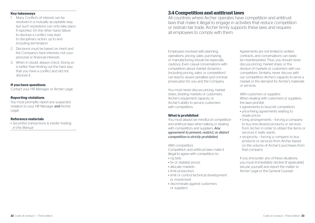### **Key takeaways**

- 1. Many Conflicts of interest can be resolved in a mutually acceptable way, but such resolutions can only take place if reported. On the other hand, failure to disclose a conflict may lead to disciplinary action, up to and including termination.
- 2. Decisions must be based on merit and the Company's best interests, not your personal or financial interests.
- 3. When in doubt, always check. Doing so is better than finding out the hard way that you have a conflict and did not disclose it.

### **If you have questions**

Contact your HR Manager, or Archer Legal.

### **Reporting violations**

You must promptly report any suspected violation to your HR Manager *and* Archer Legal.

### **Reference materials**

*• Securities transactions & insider trading, in this Manual*

# **3.4 Competition and antitrust laws**

All countries where Archer operates have competition and antitrust laws that make it illegal to engage in activities that reduce competition or restrain fair trade. Archer firmly supports these laws and requires all employees to comply with them.

Employees involved with planning, operations, pricing, sales, purchasing, or manufacturing should be especially cautious. Even casual conversations with competitors about market dynamics (including pricing, sales, or competition) can lead to severe penalties and criminal prosecution for you and the Company.

You must never discuss pricing, market share, dividing markets or customers, Archer's equipment capacity, or Archer's ability to service customers with competitors.

### **What is prohibited**

You must always be mindful of competition and antitrust laws when talking or dealing with competitors and suppliers. *Any agreement to prevent, restrict, or distort competition is strictly prohibited.*

*With competitors* Competition and antitrust laws make it illegal to agree with competitors to:

- rig bids
- fix or stabilize prices
- allocate markets
- limit production
- limit or control technical development or investment
- discriminate against customers or suppliers

Agreements are not limited to written contracts, and conversations can easily be misinterpreted. Thus, you should never discuss pricing, market share, or the division of markets or customers with our competitors. Similarly, never discuss with our competitors Archer's capacity to serve a market or the demand for Archer's materials or services.

*With customers or suppliers* When dealing with customers or suppliers. the laws prohibit:

- agreements to boycott competitors
- price-fixing agreements relating to resale prices
- tying arrangements forcing a company to buy less-desired products or services from Archer in order to obtain the items or services it really wants
- reciprocity forcing a company to buy products or services from Archer based on the volume of Archer's purchases from that company

If you encounter any of these situations, you must immediately decline (if applicable), excuse yourself, and report the matter to Archer Legal or the General Counsel.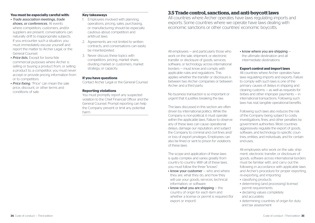### **You must be especially careful with:**

- *• Trade association meetings, trade shows, or conferences.* At events where competitors, customers, and/or suppliers are present, conversations can naturally drift to inappropriate subjects. If you encounter such a situation, you must immediately excuse yourself and report the matter to Archer Legal, or the General Counsel.
- *• Price lists.* Except for bona fide commercial purposes where Archer is selling or buying a product from, or selling a product to, a competitor, you must never accept or provide pricing information from or to competitors.
- *• Price fixing.* "Price" can mean the sale price, discount, or other terms and conditions of sale.

### **Key takeaways**

- 1. Employees involved with planning, operations, pricing, sales, purchasing, or manufacturing should be especially cautious about competition and antitrust laws.
- 2. Agreements are not limited to written contracts, and conversations can easily be misinterpreted.
- 3. Never discuss these topics with competitors: pricing, market share, dividing market or customers, market strategy, or capacity.

### **If you have questions**

Contact Archer Legal or the General Counsel.

### **Reporting violations**

You must promptly report any suspected violation to the Chief Financial Officer and the General Counsel. Prompt reporting can help the Company prevent or limit any potential harm.

### **3.5 Trade control, sanctions, and anti-boycott laws**

All countries where Archer operates have laws regulating imports and exports. Some countries where we operate have laws dealing with economic sanctions or other countries' economic boycotts.

All employees — and particularly those who work on the sale, shipment, or electronic transfer or disclosure of goods, services, software, or technology across international borders — must know and comply with applicable rules and regulations. This applies whether the transfer or disclosure is between two Archer companies or between Archer and a third party.

No business transaction is so important or urgent that it justifies breaking the law.

The laws discussed in this section are often driven by international politics. While the Company is non-political, it must operate within the applicable laws. Failure to observe any of these laws can cause operational delays, damage our reputation, and subject the Company to criminal and civil fines and/ or loss of export privileges. Employees can also be fined or sent to prison for violations of these laws.

The scope and application of these laws is quite complex and varies greatly from country to country. With all of these laws, you must follow the three "knows":

- know your customer who and where they are, what they do, and how they will use your goods, services, technical information, or software
- $\bullet$  know what you are shipping  $-$  the country of origin for each item and whether a license or permit is required (for export or import)

 $\bullet$  know where you are shipping  $$ the ultimate destination and all intermediate destinations

### **Export control and import laws**

All countries where Archer operates have laws regulating imports and exports. Failure to comply with such laws is one of the primary causes of delays in shipping and clearing customs — as well as requests for bribes and other improper payments — in international transactions. Following such laws has real, tangible operational benefits.

Following such laws also reduces the risk of the Company being subject to costly investigations, fines, and other penalties by government authorities. Most countries aggressively regulate the export of goods, software, and technology to specific countries, entities, and individuals, and for certain end-uses.

All employees who work on the sale, shipment, electronic transfer, or disclosure of goods, software across international borders must be familiar with, and carry out the following in accordance with applicable laws and Archer's procedure for proper exporting, re-exporting, and importing:

- classifying products
- determining (and processing) license/ permit requirements
- declaring values completely and accurately
- determining countries of origin for duty and tax assessment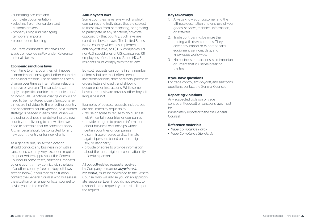- submitting accurate and complete documentation
- selecting freight forwarders and customs brokers
- properly using and managing temporary imports
- proper record-keeping

*See Trade compliance standards* and *Trade compliance policy* under Reference materials below.

### **Economic sanctions laws**

From time to time, countries will impose economic sanctions against other countries for political reasons. These sanctions often change over time as international relations improve or worsen. The sanctions can apply to specific countries, companies, and/ or individuals. Sanctions change quickly and need to be monitored closely. Sanctions regimes are individual to the enacting country and sanctioned country/person, so a tailored strategy is needed in each case. When we are doing business in or delivering to a new country, or delivering to a new client we need to ascertain that no sanctions apply. Archer Legal should be contacted for any new country entry or for new clients.

As a general rule, no Archer location should conduct any business in or with a sanctioned country. Any exception requires the prior written approval of the General Counsel. In some cases, sanctions imposed by one country may conflict with the laws of another country (see anti-boycott laws section below). If you face this situation, contact the General Counsel who will assess the situation or arrange for local counsel to advise you on the conflict.

### **Anti-boycott laws**

Some countries have laws which prohibit companies and individuals that are subject to those laws from participating, or agreeing to participate, in any sanctions/boycotts opposed by that country. Such laws are called anti-boycott laws. The United States is one country which has implemented anti-boycott laws, so (1) U.S. companies, (2) non-U.S. subsidiaries of U.S. companies, (3) employees of no. 1 and no. 2, and (4) U.S. residents must comply with those laws.

Boycott requests can come in any number of forms, but are most often seen in invitations for bids, draft contracts, purchase orders, letters of credit, and shipping documents or instructions. While some boycott requests are obvious, other boycott language is not.

Examples of boycott requests include, but are not limited to, requests to:

- refuse or agree to refuse to do business with/in certain countries or companies
- provide or agree to provide information about business relationships with/in certain countries or companies
- discriminate or agree to discriminate against persons based on race, religion, sex, or nationality
- provide or agree to provide information about the race, religion, sex, or nationality of certain persons

All boycott-related requests received by Company personnel *anywhere in the world,* must be forwarded to the General Counsel who will advise you on an appropriate response. Even if you do not expect to respond to the request, you must still report the request.

### **Key takeaways**

- 1. Always know your customer and the ultimate destination and end use of your goods, services, technical information, or software.
- 2. Trade controls involve more than trading with risky countries. They cover any import or export of parts, equipment, services, data, and knowledge worldwide.
- 3. No business transactions is so important or urgent that it justifies breaking the law.

### **If you have questions**

For trade control, anti-boycott, and sanctions questions, contact the General Counsel.

### **Reporting violations**

Any suspected violation of trade control, anti-boycott or sanctions laws must be immediately reported to the the General Counsel.

- *• Trade Compliance Policy*
- *• Trade Compliance Standards*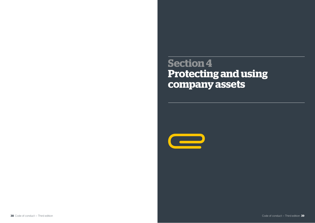**Section 4 Protecting and using company assets**

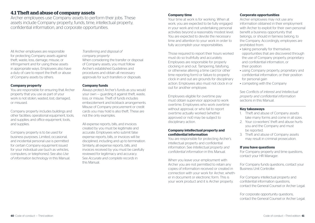# **4.1 Theft and abuse of company assets**

Archer employees use Company assets to perform their jobs. These assets include Company property, funds, time, intellectual property, confidential information, and corporate opportunities.

All Archer employees are responsible for protecting Company assets against theft, waste, loss, damage, misuse, or infringement and for using these assets in appropriate ways. Employees also have a duty of care to report the theft or abuse of Company assets by others.

### **Company property**

You are responsible for ensuring that Archer property that you use as part of your work is not stolen, wasted, lost, damaged, or misused.

Company property includes buildings and other facilities; operational equipment, tools, and supplies; and office equipment, tools, and supplies.

Company property is to be used for business purposes. Limited, occasional, and incidental personal use is permitted for certain Company equipment issued for your individual use (such as vehicles, computers, or telephones). See also *Use of information technology* in this Manual.

*Transferring and disposal of company property* When considering the transfer or disposal of Company assets, you must follow Archer's established Guidelines and procedures and obtain all necessary approvals for such transfers or disposals.

### **Company funds**

Always protect Archer's funds as you would your own — guarding it against theft, waste, loss, or misuse. Theft of funds includes embezzlement and kickback arrangements. Misuse of Company procurement or credit cards you may hold is also theft. These are not the only examples.

All expense reports, bills, and invoices created by you must be legitimate and accurate. Employees who submit false expense reports, bills, or invoices will be disciplined, including and up to termination. Similarly, all expense reports, bills, and invoices received by you must be carefully reviewed for legitimacy and accuracy. See *Accurate and complete records* in this Manual.

### **Company time**

Your time at work is for working. When at work, you are expected to be fully engaged in your work and not undertaking personal activities beyond a reasonably modest level. You are expected to devote the necessary time and attention to your work in order to fully accomplish your responsibilities.

Those required to report their hours worked must do so truthfully and accurately. Employees are responsible for properly clocking in and out. Tampering, falsifying, or otherwise altering a time card (or other time reporting form) or failure to properly clock in and out are grounds for disciplinary action. Employees also must not clock in or out for another employee.

Employees eligible for overtime pay must obtain supervisor approval to work overtime. Employees who work overtime without approval, or who fail to report overtime actually worked (whether approved or not) may be subject to disciplinary action.

### **Company intellectual property and confidential information**

You are responsible for protecting Archer's intellectual property and confidential information. See *Intellectual property and confidential information* in this Manual.

When you leave your employment with Archer you are not permitted to retain any copies of information received or created in connection with your work for Archer, whether in document or electronic form. This is your work product and it is Archer property.

### **Corporate opportunities**

Archer employees may not use any information obtained in their employment with Archer to exploit for their own personal benefit a business opportunity that belongs, or should in fairness belong, to the Company. Accordingly, employees are prohibited from:

- taking personally for themselves opportunities that are discovered through the use of Company property, proprietary and confidential information, or their position
- using Company property, proprietary and confidential information, or their position for personal gain
- competing with the Company

See *Conflicts of interest and Intellectual property and confidential information* sections in this Manual.

### **Key takeaways**

- 1. Theft and abuse of Company assets take many forms and come in all sizes.
- 2. Your co-workers' theft and abuse hurts you and the Company and must be reported.
- 3. Theft and abuse of Company assets may result in criminal prosecution.

### **If you have questions**

For Company property and time questions, contact your HR Manager.

For Company funds questions, contact your Business Unit Controller.

For Company intellectual property and confidential information questions, contact the General Counsel or Archer Legal.

For corporate opportunity questions, contact the General Counsel or Archer Legal.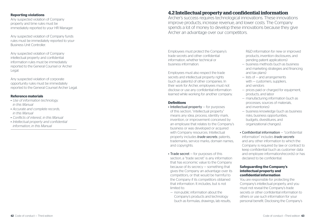### **Reporting violations**

Any suspected violation of Company property and time rules must be immediately reported to your HR Manager.

Any suspected violation of Company funds rules must be immediately reported to your - Business Unit Controller.

Any suspected violation of Company intellectual property and confidential information rules must be immediately reported to the General Counsel or Archer Legal.

Any suspected violation of corporate opportunity rules must be immediately reported to the General Counsel Archer Legal.

### **Reference materials**

- *• Use of information technology, in this Manual*
- *• Accurate and complete records, in this Manual*
- *• Conflicts of interest, in this Manual*
- *• Intellectual property and confidential information, in this Manual*

# **4.2 Intellectual property and confidential information**

Archer's success requires technological innovations. These innovations improve products, increase revenue, and lower costs. The Company spends a lot of money to develop these innovations because they give Archer an advantage over our competitors.

Employees must protect the Company's trade secrets and other confidential information, whether technical or business information.

Employees must also respect the trade secrets and intellectual property rights (such as patents) of other companies. In their work for Archer, employees must not disclose or use any confidential information learned while working for another company.

### **Definitions**

- Intellectual property for purposes of this section, "intellectual property" means any idea, process, identity mark, invention, or improvement conceived by an employee that relates to the Company's business or was developed or acquired with Company resources. Intellectual property includes *trade secrets*, patents, trademarks, service marks, domain names, and copyrights.
- Trade secret for purposes of this section, a "trade secret" is any information that has economic value to the Company because of its secrecy — something that gives the Company an advantage over its competitors, or that would be harmful to the Company if its competitors obtained that information. It includes, but is not limited to:
- non-public information about the Company's products and technology (such as formulas, drawings, lab results,

 R&D information for new or improved products, invention disclosures, and pending patent applications)

- business methods (such as business and marketing strategies and financing and tax plans)
- lists of and arrangements with  $-$  customers, suppliers and vendors
- prices paid or charged for equipment, products, and labor
- manufacturing information (such as processes, sources of materials, and inventories)
- business knowledge (such as business risks, business opportunities, budgets, divestitures, and organizational changes).
- Confidential information "confidential information" includes *trade secrets* and any other information to which the Company is required by law or contract to keep confidential (such as customer data and employee information/records) or has declared to be confidential.

### **Safeguarding the Company's intellectual property and confidential information**

You are responsible for protecting the Company's intellectual property, and you must not reveal the Company's trade secrets or other confidential information to others or use such information for your personal benefit. Disclosing the Company's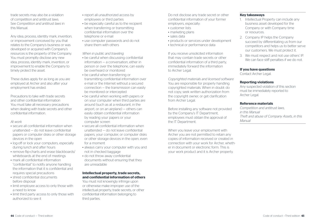Any idea, process, identity mark, invention, or improvement conceived by you that relates to the Company's business or was developed or acquired with Company's resources is the property of the Company. You must promptly disclose any new idea, process, identity mark, invention, or improvement to enable the Company to timely protect the asset.

These duties apply for as long as you are employed at Archer and also after your employment has ended.

Precautions to take with trade secrets and other confidential information You must take all necessary precautions when dealing with trade secrets and other confidential information.

### *At work*

- secure all confidential information when unattended — do not leave confidential papers or computer disks or other storage devices in the open
- log-off or lock your computers, especially during lunch and after hours
- remove flip-charts and erase blackboards/ whiteboards at the end of meetings
- mark all confidential information "confidential" to notify anyone handling the information that it is confidential and requires special precautions
- shred confidential documents before disposal
- limit employee access to only those with a need to know
- limit third party access to only those with authorized to see it
- report all unauthorized access by employees or third parties
- be especially careful as to the recipient when transferring or transmitting confidential information over the telephone or e-mail
- use computer passwords and do not share them with others

*When in public and traveling*

- be careful when discussing confidential information — a conversation, either in person or over the telephone, can easily be overheard or monitored
- be careful when transferring or transmitting confidential information over e-mail or the Internet without a secured connection — the transmission can easily be monitored or intercepted
- be careful when working with papers or on your computer when third parties are around (such as at a restaurant, in the airport, or on an airplane) — others can easily obtain confidential information by reading your papers or your computer screen
- secure all confidential information when unattended — do not leave confidential papers, your computer, or computer disks or other storage devices in the open, even for a moment
- always carry your computer with you and not in checked baggage
- do not throw away confidential documents without ensuring that they are unreadable

### **Intellectual property, trade secrets, and confidential information of others**

You must not knowingly infringe upon or otherwise make improper use of the intellectual property, trade secrets, or other confidential information belonging to third parties.

Do not disclose any trade secret or other confidential information of your former employers, especially:

- customer lists
- marketing plans
- sales data
- products or services under development
- technical or performance data

If you receive unsolicited information that may contain trade secrets or other confidential information of a third party, immediately forward the information to Archer Legal.

*Copyrighted materials and licensed software* You are responsible for properly handling copyrighted materials. When in doubt: do not copy, seek written authorization from the copyright owner, or get clarification from Archer Legal.

Before installing any software not provided by the Company's IT Department, employees must obtain the approval of the IT Department.

When you leave your employment with Archer you are not permitted to retain any copies of information received or created in connection with your work for Archer, whether in document or electronic form. This is your work product and it is Archer property.

### **Key takeaways**

- 1. Intellectual Property can include any business asset developed for the Company or with Company time or resources.
- 2. Company IP helps the Company succeed by differentiating us from our competitors and helps us to better serve our customers. We must protect it.
- 3. We must respect and not use others' IP. We can face stiff penalties if we do not.

### **If you have questions**

Contact Archer Legal.

### **Reporting violations**

Any suspected violation of this section must be immediately reported to Archer Legal.

### **Reference materials**

*Competition and antitrust laws, in this Manual Theft and abuse of Company Assets, in this Manual*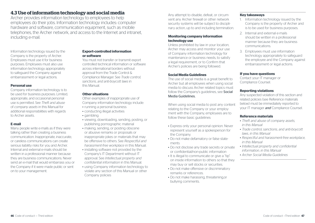# **4.3 Use of information technology and social media**

Archer provides information technology to employees to help employees do their jobs. Information technology includes: computer hardware and software, communication equipment, such as mobile telephones, the Archer network, and access to the Internet and intranet, including e-mail.

Information technology issued by the Company is the property of Archer. Employees must use it for business purposes. Employees must also use information technology appropriately to safeguard the Company against embarrassment or legal actions.

### **Personal use**

Company information technology is to be used for business purposes. Limited, appropriate, and occasional personal use is permitted. See *Theft and abuse* of *company assets* in this Manual for additional responsibilities with regards to Archer assets.

### **E-mail**

Many people write e-mails as if they were talking rather than creating a business communication. Inappropriate, inaccurate, or careless communications can create serious liability risks for you and Archer. Internal and external e-mails should be written in a professional manner because they are business communications. Never send an e-mail that would embarrass you or the Company if it were made public or sent on to your management.

### **Export-controlled information or software**

You must not transfer or transmit export controlled technical information or software across international borders without approval from the Trade Control & Compliance Manager. See *Trade control, sanctions, and anti-boycott laws* in this Manual.

### **Other situations**

Other examples of inappropriate use of Company information technology include:

- running a personal business
- conducting illegal activities
- gambling
- viewing, downloading, sending, posting, or publishing pornographic material
- making, sending, or posting obscene or abusive remarks or proposals or inappropriate jokes or materials that may be offensive to others. See *Respectful and harassment-free workplace* in this Manual.
- installing software not provided by the Company's IT Department without IT approval. See *Intellectual property and confidential information* in this Manual.
- using Company information technology to violate any section of this Manual or other Company policies

Any attempt to disable, defeat, or circumvent any Archer firewall or other network security systems will be subject to disciplinary action, up to and including termination.

### **Monitoring company information technology use**

Unless prohibited by law in your location, Archer may access and monitor your use of Company information technology for maintenance or business needs, to satisfy a legal requirement, or to Confirm that Archer's policies are being followed.

### **Social Media Guidelines**

The use of social media is a great benefit to Archer but all employees when using social media to discuss Archer related topics must follow the Company's quidelines, see Social Media Guidelines.

When using social media to post any content relating to the Company or your employment with the Company, employees are to follow these basic guidelines:

- Express only your personal opinion. Never represent yourself as a spokesperson for the Company.
- Do not make defamatory or false statements
- Do not disclose any trade secrets or private or confidential/non-public information
- It is illegal to communicate or give a "tip" on inside information to others so that they may buy or sell stocks or securities.
- Do not make offensive or discriminatory remarks or references.
- Do not make harassing, threatening,or bullying comments.

### **Key takeaways**

- 1. Information technology issued by the Company is the property of Archer and is to be used for business purposes.
- 2. Internal and external e-mails should be written in a professional manner because they are business communications.
- 3. Employees must use information technology appropriately to safeguard the employee and the Company against embarrassment or legal actions.

### **If you have questions**

Contact your IT manager or Compliance Counsel.

### **Reporting violations**

Any suspected violation of this section and related policies (see Reference materials below) must be immediately reported to your IT manager *and* Compliance Counsel.

- *• Theft and abuse of company assets, in this Manual*
- *• Trade control, sanctions, and anti-boycott laws, in this Manual*
- *• Respectful and harassment-free workplace, in this Manual*
- *• Intellectual property and confidential information, in this Manual*
- *• Archer Social Media Guidelines*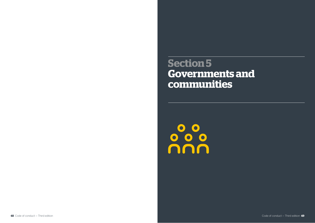**Section 5 Governments and communities**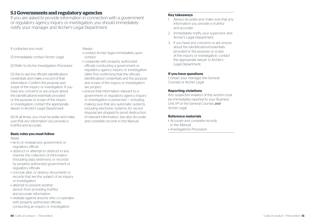# **5.1 Governments and regulatory agencies**

If you are asked to provide information in connection with a government or regulatory agency inquiry or investigation, you should immediately notify your manager and Archer's Legal Department.

### If contacted you must

(1) Immediately contact Archer Legal

(2) Refer to *Archer Investigation Procedure* 

(3) Ask to see the official's identification/ credentials and make a record of that information. Confirm the purpose and scope of the inquiry or investigation. If you have any concerns or are unsure about the identification/credentials provided or the purpose or scope of the inquiry or investigation, contact the appropriate lawyer in Archer's Legal Department.

(4) At all times, you must be polite and make sure that any information you provide is truthful and accurate.

### **Basic rules you must follow**

*Never*

- lie to or mislead any government or regulatory official
- obstruct or attempt to obstruct in any manner the collection of information (including data, testimony, or records) by properly authorized government or regulatory officials
- conceal, alter, or destroy documents or records that are the subject of an inquiry or investigation
- attempt to prevent another person from providing truthful and accurate information
- retaliate against anyone who co-operates with properly authorized officials conducting an inquiry or investigation

*Always*

- contact Archer legal immediately upon contact
- cooperate with properly authorized officials conducting a government or regulatory agency inquiry or investigation (after first confirming that the official's identification/ credentials and the purpose and scope of the inquiry or investigation are proper)
- ensure that information relevant to a government or regulatory agency inquiry or investigation is preserved — including making sure that any automatic systems, including electronic systems, for record disposal are stopped to avoid destruction of relevant information. See also *Accurate and complete records* in this Manual

### **Key takeaways**

- 1. Always be polite and make sure that any information you provide is truthful and accurate.
- 2. Immediately notify your supervisor and Archer's Legal Department.
- 3. If you have any concerns or are unsure about the identification/credentials provided or the purpose or scope of the inquiry or investigation, contact the appropriate lawyer in Archer's Legal Department.

### **If you have questions**

Contact your manager, the General Counsel, or Archer Legal.

### **Reporting violations**

Any suspected violation of this section must be immediately reported to your Business Unit VP or the General Counsel, *and* Archer Legal.

- *• Accurate and complete records, in this Manual*
- *• Investigations Procedure*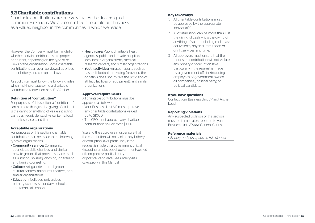# **5.2 Charitable contributions**

Charitable contributions are one way that Archer fosters good community relations. We are committed to operate our business as a valued neighbor in the communities in which we reside.

However, the Company must be mindful of whether certain contributions are proper or prudent, depending on the type of, or views of the, organization. Some charitable contributions can even be viewed as bribes under bribery and corruption laws.

As such, you must follow the following rules when making or approving a charitable contribution request on behalf of Archer.

### **Definition of "contribution"**

For purposes of this section, a "contribution" can be more than just the giving of cash — it is the giving of anything of value, including cash, cash equivalents, physical items, food or drink, services, and time.

### **Acceptable organizations**

For purposes of this section, charitable contributions can be made to the following types of organizations:

- Community service: Community agencies, public charities, and similar private groups that provide services such as nutrition, housing, clothing, job training, and family counseling.
- Culture: Art galleries, choral groups, cultural centers, museums, theaters, and similar organizations.
- Education: Colleges, universities, primary schools, secondary schools, and technical schools.
- Health care: Public charitable health agencies, public and private hospitals, local health organizations, medical research centers, and similar organizations.
- Youth activities: Amateur sports such as baseball, football, or cycling (provided the donation does not involve the provision of athletic facilities or equipment), and similar organizations.

### **Approval requirements**

All charitable contributions must be approved as follows:

- Your Business Unit VP must approve any charitable contributions valued up to \$1000.
- The CEO must approve any charitable contributions valued over \$1000.

You and the approvers must ensure that the contribution will not violate any bribery or corruption laws, particularly if the request is made by a government official (including employees of government-owned oil companies), political party, or political candidate. See *Bribery and corruption* in this Manual.

### **Key takeaways**

- 1. All charitable contributions must be approved by the appropriate individual(s).
- 2. A "contribution" can be more than just the giving of cash — it is the giving of anything of value, including cash, cash equivalents, physical items, food or drink, services, and time.
- 3. All approvers must ensure that the requested contribution will not violate any bribery or corruption laws, particularly if the request is made by a government official (including employees of government-owned oil companies), political party, or political candidate.

### **If you have questions**

Contact your Business Unit VP and Archer Legal.

### **Reporting violations**

Any suspected violation of this section must be immediately reported to your Business Unit VP *and* General Counsel.

### **Reference materials**

*• Bribery and corruption, in this Manual*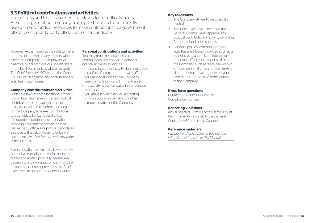# **5.3 Political contributions and activities**

For business and legal reasons, Archer strives to be politically neutral. As such, in general, no Company employee shall, directly or indirectly. use Company funds or resources to make contributions to a government official, political party, party official, or political candidate.

However, Archer reserves the right to make our position known on any matters which affect the Company, our employees or directors, our customers, our shareholders, or the local communities where we work. The Chief Executive Officer and the General Counsel must approve any contributions or activities in such cases.

### **Company contributions and activities**

Under the laws of some locations, Archer is prohibited from making certain political contributions or engaging in certain political activities. For example, it is illegal for the Company to make contributions to a candidate for U.S. federal office. In all countries, contributions or activities involving government officials, political parties, party officials, or political candidates also create the risk of violating bribery or corruption laws. See *Bribery and corruption* in this Manual.

Even in locations where it is allowed by law, Archer has typically chosen, for business reasons, to remain politically neutral. Any decision to act involving Company funds or resources must be approved by the Chief Executive Officer and the General Counsel.

### **Personal contributions and activities**

You may make personal political contributions and engage in personal political activities as long as:

- the contribution or activity does not create a conflict of interest or otherwise affect your responsibilities to the Company (see *Conflicts of interest* in this Manual),
- the activity is carried out on your personal time, and
- you make it clear that you are acting only on your own behalf and not as a representative of the Company

### **Key takeaways**

- 1. The Company strives to be politically neutral.
- 2. The Chief Executive Officer and the General Counsel must approve any political contribution or activity involving Company funds or resources.
- 3. Personal political contributions and activities are allowed provided such acts do not create a conflict of interest or otherwise affect your responsibilities to the Company, such acts are carried out on your personal time, and you make it clear that you are acting only on your own behalf and not as a representative of the Company.

### **If you have questions**

Contact the General Counsel or Compliance Counsel.

### **Reporting violations**

Any suspected violation of this section must be immediately reported to the General Counsel *and* Compliance Counsel.

- *• Bribery and corruption, in this Manual*
- *• Conflicts of interest, in this Manual*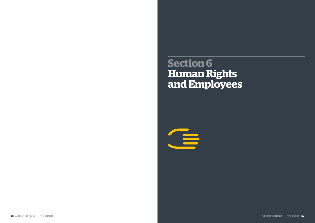**Section 6 Human Rights and Employees**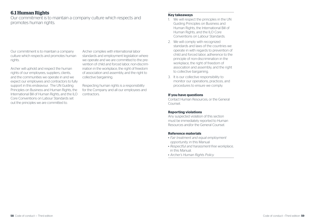# **6.1 Human Rights**

Our commitment is to maintain a company culture which respects and promotes human rights.

Our commitment is to maintain a company culture which respects and promotes human rights.

Archer will uphold and respect the human rights of our employees, suppliers, clients, and the communities we operate in and we expect our employees and contractors to fully support in this endeavour. The UN Guiding Principles on Business and Human Rights, the International Bill of Human Rights, and the ILO Core Conventions on Labour Standards set out the principles we are committed to.

Archer complies with international labor standards and employment legislation where we operate and we are committed to the prevention of child and forced labor, non-discrimination in the workplace, the right of freedom of association and assembly, and the right to collective bargaining.

Respecting human rights is a responsibility for the Company and all our employees and contractors.

### **Key takeaways**

- 1. We will respect the principles in the UN Guiding Principles on Business and Human Rights, the International Bill of Human Rights, and the ILO Core Conventions on Labour Standards.
- 2. We will comply with recognized standards and laws of the countries we operate in with regards to prevention of child and forced labor, adherence to the principle of non-discrimination in the workplace, the right of freedom of association and assembly, and the right to collective bargaining.
- 3. It is our collective responsibility to monitor our operations, practices, and procedures to ensure we comply.

### **If you have questions**

Contact Human Resources, or the General Counsel.

### **Reporting violations**

Any suspected violation of this section must be immediately reported to Human Resources and/or the General Counsel.

- *• Fair treatment and equal employment opportunity,* in this Manual
- *• Respectful and harassment-free workplace,*  in this Manual.
- *• Archer's Human Rights Policy.*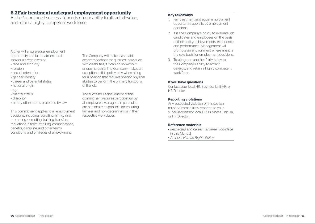# **6.2 Fair treatment and equal employment opportunity**

Archer's continued success depends on our ability to attract, develop, and retain a highly competent work force.

Archer will ensure equal employment opportunity and fair treatment to all individuals regardless of:

- race and ethnicity
- religion
- sexual orientation
- gender identity
- career and parental status
- national origin
- age
- marital status
- disability
- or any other status protected by law

This commitment applies to all employment decisions, including recruiting, hiring, iring, promoting, demoting, training, transfers, reductions-in-force, re-hiring, compensation, benefits, discipline, and other terms, conditions, and privileges of employment.

The Company will make reasonable accommodations for qualified individuals with disabilities, if it can do so without undue hardship. The Company makes an exception to this policy only when hiring for a position that requires specific physical abilities to perform the primary functions of the job.

The successful achievement of this commitment requires participation by all employees. Managers, in particular, are personally responsible for ensuring fairness and non-discrimination in their respective workplaces.

### **Key takeaways**

- 1. Fair treatment and equal employment opportunity apply to *all* employment decisions.
- 2. It is the Company's policy to evaluate job candidates and employees on the basis of their ability, achievements, experience, and performance. Management will promote an environment where merit is the sole basis for employment decisions.
- 3. Treating one another fairly is key to the Company's ability to attract, develop, and retain a highly competent work force.

### **If you have questions**

Contact your local HR, Business Unit HR, or HR Director.

### **Reporting violations**

Any suspected violation of this section must be immediately reported to your supervisor and/or local HR, Business Unit HR, or HR Director.

- *• Respectful and harassment-free workplace,*  in this Manual.
- *• Archer's Human Rights Policy.*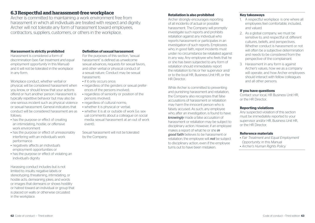# **6.3 Respectful and harassment-free workplace**

Archer is committed to maintaining a work environment free from harassment in which all individuals are treated with respect and dignity. Archer will not tolerate any form of harassment toward employees, contractors, suppliers, customers, or others in the workplace.

### **Harassment is strictly prohibited**

Harassment is considered a form of discrimination (see *Fair treatment and equal employment opportunity* in this Manual) and it will not be tolerated in the workplace in any form.

Workplace conduct, whether verbal or physical, will be considered harassment when you know, or should know that your actions offend or hurt another person. Harassment is typically repetitive behavior but may also be one serious incident such as physical violence or sexual harassment. General indicators that conduct will be considered harassment are as follows::

- has the purpose or effect of creating an intimidating, hostile, or offensive work environment
- has the purpose or effect of unreasonably interfering with an individual's work performance
- negatively affects an individual's employment opportunities or
- has the purpose or effect of violating an individual's dignity

Harassing conduct includes but is not limited to: insults; negative labels or stereotyping; threatening, intimidating, or hostile acts; demeaning jokes; and words or images that demeans or shows hostility or hatred toward an individual or group that is placed on walls or otherwise circulated in the workplace.

### **Definition of sexual harassment**

For the purposes of this section, "sexual harassment" is defined as unwelcome sexual advances, requests for sexual favors, and other verbal or physical conduct of a sexual nature. Conduct may be sexual harassment::

- if it only occurs once:
- regardless of the genders or sexual preferences of the persons involved;
- regardless of seniority or position of the persons involved;
- regardless of cultural norms:
- whether it is physical or verbal;
- $\bullet$  whether it is at or outside of work (i.e. sexual comments about a colleague on social media; sexual harassment at an out of work event);

Sexual harassment will not be tolerated by the Company.

### **Retaliation is also prohibited**

Archer strongly encourages reporting of all incidents of actual or possible harassment. The Company will promptly investigate such reports and prohibits retaliation against any individual who reports harassment or participates in an investigation of such reports. Employees who, in good faith, report incidents must under no circumstance be retaliated against in any way. Any employee who feels that he or she has been subjected to any form of retaliation should immediately report the retaliation to his or her supervisor and/ or to the local HR, Business Unit HR, or the HR Director..

While Archer is committed to preventing and punishing harassment and retaliation, the Company also recognizes that false accusations of harassment or retaliation may harm the innocent person who is falsely accused. As such, any employee who, after an investigation, is found to have *knowingly* made a false accusation of harassment or retaliation may be subject to disciplinary action. However, if an employee. makes a report of what he or she *in good faith* believes to be harassment or retaliation, the employee will *not* be subject to disciplinary action, even if the employee turns out to have been mistaken.

### **Key takeaways**

- 1. A respectful workplace is one where all employees feel comfortable, included, and valued.
- 2. As a global company, we must be sensitive to, and respectful of, different cultures, beliefs, and perspectives. Whether conduct is harassment or not will often be a subjective determination and needs to be considered from the perspective of the complainant.
- 3. Harassment in any form is against Archer's values, how we as a company will operate, and how Archer employees should interact with fellow colleagues and all other persons.

### **If you have questions**

Contact your local, HR Business Unit HR, or the HR Director..

### **Reporting violations**

Any suspected violation of this section must be immediately reported to your supervisor and/or HR, Business Unit HR, or the HR Director.

- *• Fair Treatment and Equal Employment Opportunity in this Manual*
- *• Archer's Human Rights Policy.*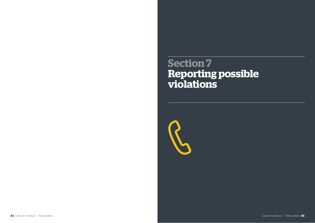# **Section 7 Reporting possible violations**

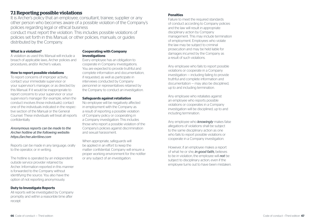# **7.1 Reporting possible violations**

It is Archer's policy that an employee, consultant, trainee, supplier or any other person who becomes aware of a possible violation of the Company's policies regarding legal or ethical business conduct must report the violation. This includes possible violations of policies set forth in this Manual, or other policies, manuals, or guides distributed by the Company.

### **What is a violation?**

A violation as used this Manual will include a breach of applicable laws, Archer policies and procedures, and/or Archer's values.

### **How to report possible violations**

To report concerns of improper activity, contact your immediate supervisor or your supervisor's manager, or as directed by this Manual. If it would be inappropriate to report concerns to your supervisor or your supervisor's manager (for example, when the conduct involves those individuals), contact one of the individuals indicated in the respective section of the Manual or the General Counsel. These individuals will treat all reports confidentially.

### *Anonymous reports can be made to the Archer hotline at the following website: https://archer.alertline.com*

Reports can be made in any language, orally to the operator, or in writing.

The hotline is operated by an independent outside service provider retained by Archer. Information reported in this manner is forwarded to the Company without identifying the source. You also have the option of not reporting anonymously.

### **Duty to Investigate Reports**

All reports will be investigated by Company promptly and within a reasonble time after receipt

### **Cooperating with Company investigations**

Every employee has an obligation to cooperate in Company investigations. You are expected to provide truthful and complete information and documentation, if requested, as well as participate in interviews conducted by Company personnel or representatives retained by the Company to conduct an investigation.

### **Safeguards against retaliation**

No employee will be negatively affected in employment with the Company as a result of reporting a possible violation of Company policy or cooperating in a Company investigation. This includes those who report a possible violation of the Company's policies against discrimination and sexual harassment.

When appropriate, safeguards will be applied in an effort to keep the matter confidential. Company will ensure a proper working environment for the notifier or any subject of an investigation.

### **Penalties**

Failure to meet the required standards of conduct according to Company policies and the law will result in appropriate disciplinary action by Company management. This may include termination of employment. Employees who violate the law may be subject to criminal prosecution and may be held liable for damages incurred by the Company as a result of such violations.

Any employee who fails to report possible violations or cooperate in a Company investigation — including failing to provide truthful and complete information and documentation — may also be disciplined, up to and including termination.

Any employee who retaliates against an employee who reports possible violations or cooperates in a Company investigation will be disciplined, up to and including termination.

Any employee who *knowingly* makes false allegations of violations shall be subject to the same disciplinary action as one who fails to report possible violations or cooperate in a Company investigation.

However, if an employee makes a report of what he or she, *in good faith,* believes to be in violation, the employee will *not* be subject to disciplinary action, even if the employee turns out to have been mistaken.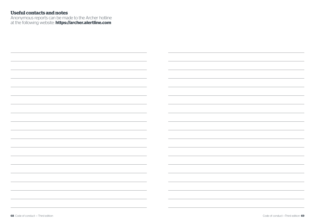# **Useful contacts and notes**

Anonymous reports can be made to the Archer hotline at the following website: **https://archer.alertline.com**

| $\overline{\phantom{a}}$                                                        |  |
|---------------------------------------------------------------------------------|--|
|                                                                                 |  |
|                                                                                 |  |
|                                                                                 |  |
| the contract of the contract of the contract of the contract of the contract of |  |
|                                                                                 |  |
|                                                                                 |  |
|                                                                                 |  |
|                                                                                 |  |
|                                                                                 |  |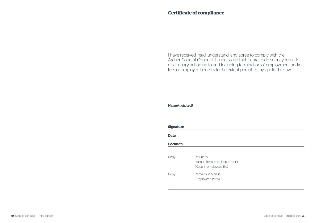# **Certificate of compliance**

I have received, read, understand, and agree to comply with the Archer Code of Conduct. I understand that failure to do so may result in disciplinary action up to and including termination of employment and/or loss of employee benefits to the extent permitted by applicable law.

### **Name (printed)**

| <b>Signature</b> |                                                                       |  |
|------------------|-----------------------------------------------------------------------|--|
| <b>Date</b>      |                                                                       |  |
| <b>Location</b>  |                                                                       |  |
| Copy             | Return to:<br>Human Resources Department<br>(Keep in employee's file) |  |
| Copy             | Remains in Manual<br>(Employee's copy)                                |  |